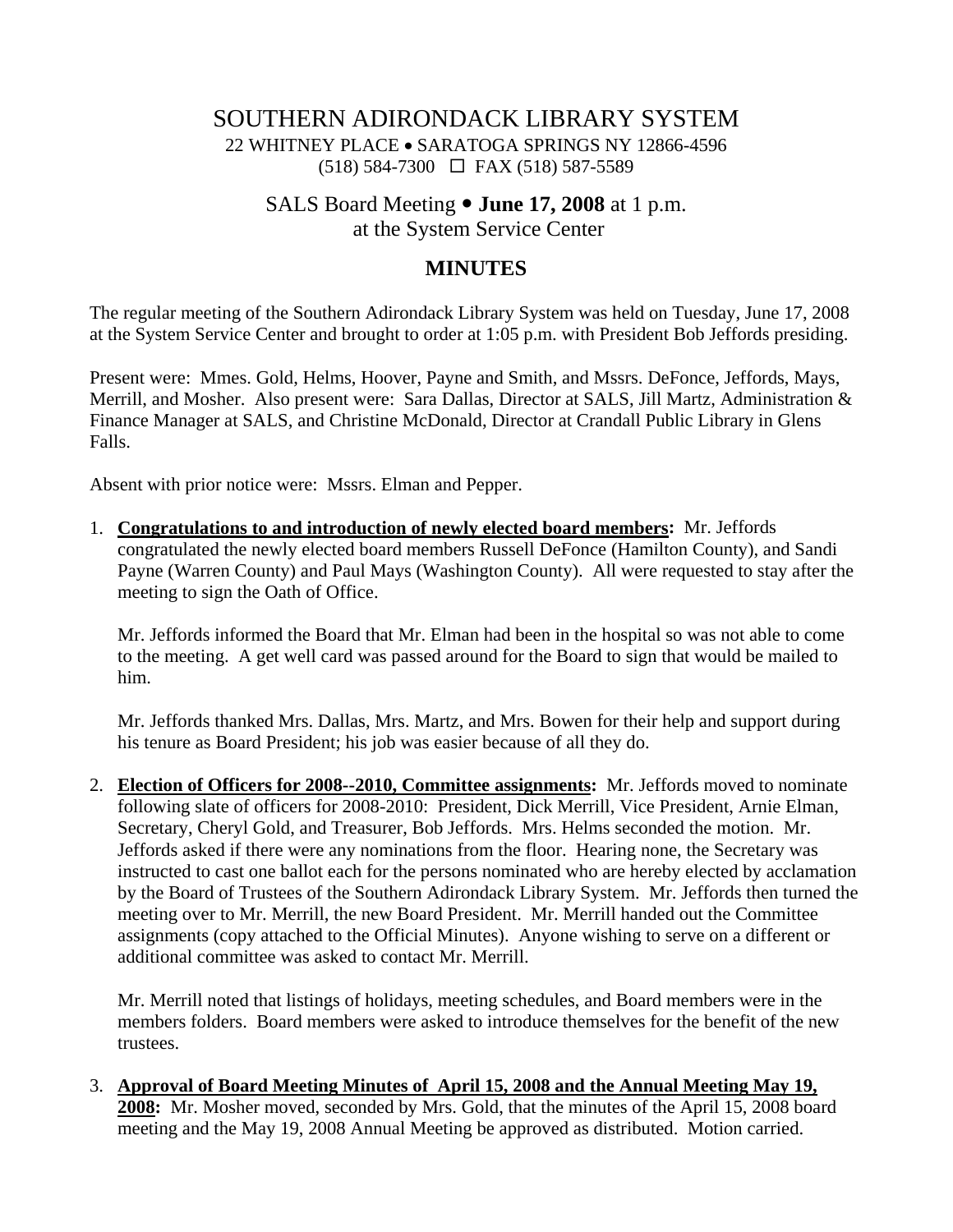## SOUTHERN ADIRONDACK LIBRARY SYSTEM 22 WHITNEY PLACE • SARATOGA SPRINGS NY 12866-4596  $(518)$  584-7300  $\Box$  FAX (518) 587-5589

# SALS Board Meeting  $\bullet$  **June 17, 2008** at 1 p.m.

at the System Service Center

## **MINUTES**

The regular meeting of the Southern Adirondack Library System was held on Tuesday, June 17, 2008 at the System Service Center and brought to order at 1:05 p.m. with President Bob Jeffords presiding.

Present were: Mmes. Gold, Helms, Hoover, Payne and Smith, and Mssrs. DeFonce, Jeffords, Mays, Merrill, and Mosher. Also present were: Sara Dallas, Director at SALS, Jill Martz, Administration & Finance Manager at SALS, and Christine McDonald, Director at Crandall Public Library in Glens Falls.

Absent with prior notice were: Mssrs. Elman and Pepper.

1. **Congratulations to and introduction of newly elected board members:** Mr. Jeffords congratulated the newly elected board members Russell DeFonce (Hamilton County), and Sandi Payne (Warren County) and Paul Mays (Washington County). All were requested to stay after the meeting to sign the Oath of Office.

Mr. Jeffords informed the Board that Mr. Elman had been in the hospital so was not able to come to the meeting. A get well card was passed around for the Board to sign that would be mailed to him.

Mr. Jeffords thanked Mrs. Dallas, Mrs. Martz, and Mrs. Bowen for their help and support during his tenure as Board President; his job was easier because of all they do.

2. **Election of Officers for 2008--2010, Committee assignments:** Mr. Jeffords moved to nominate following slate of officers for 2008-2010: President, Dick Merrill, Vice President, Arnie Elman, Secretary, Cheryl Gold, and Treasurer, Bob Jeffords. Mrs. Helms seconded the motion. Mr. Jeffords asked if there were any nominations from the floor. Hearing none, the Secretary was instructed to cast one ballot each for the persons nominated who are hereby elected by acclamation by the Board of Trustees of the Southern Adirondack Library System. Mr. Jeffords then turned the meeting over to Mr. Merrill, the new Board President. Mr. Merrill handed out the Committee assignments (copy attached to the Official Minutes). Anyone wishing to serve on a different or additional committee was asked to contact Mr. Merrill.

Mr. Merrill noted that listings of holidays, meeting schedules, and Board members were in the members folders. Board members were asked to introduce themselves for the benefit of the new trustees.

3. **Approval of Board Meeting Minutes of April 15, 2008 and the Annual Meeting May 19, 2008:** Mr. Mosher moved, seconded by Mrs. Gold, that the minutes of the April 15, 2008 board meeting and the May 19, 2008 Annual Meeting be approved as distributed. Motion carried.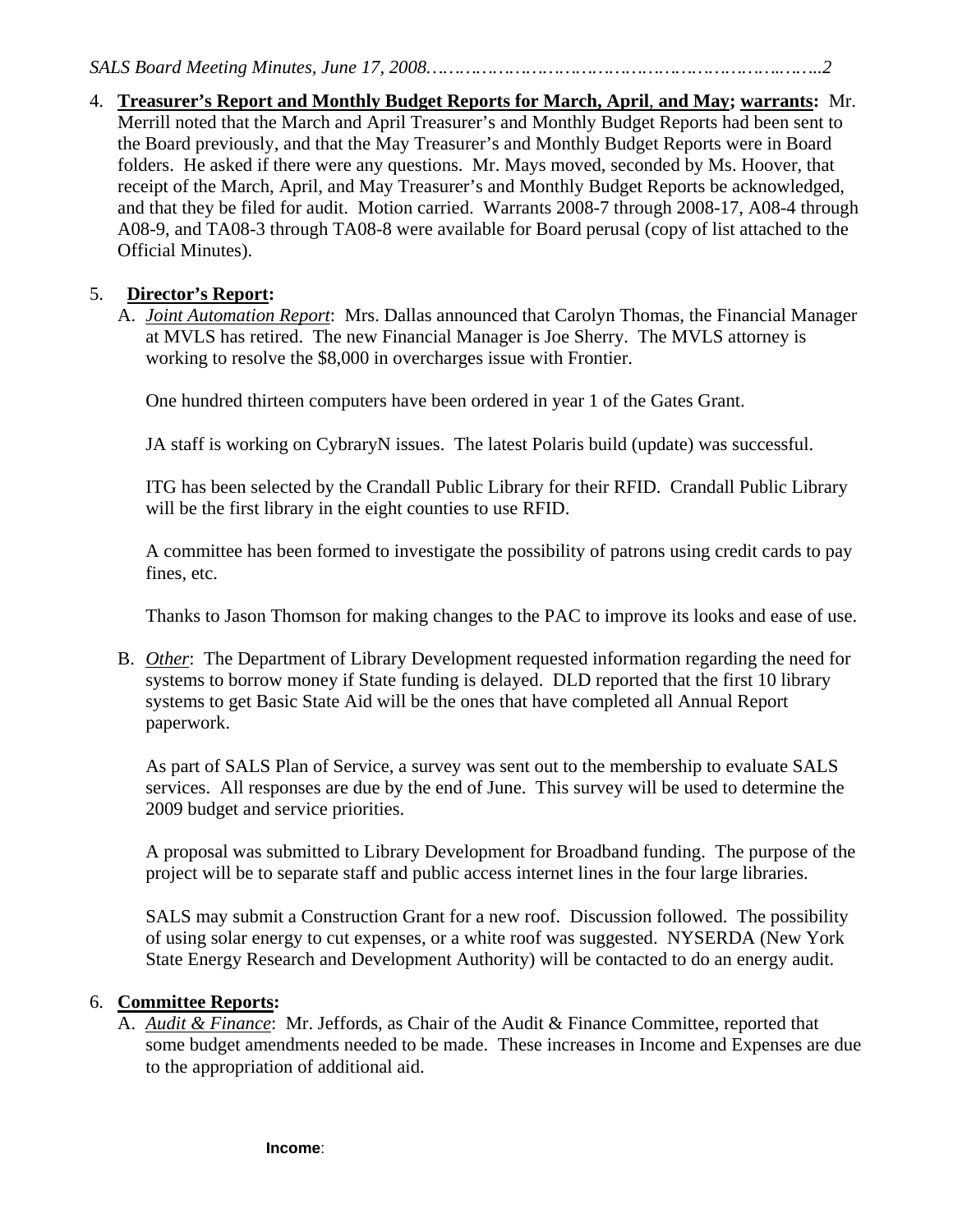4. **Treasurer's Report and Monthly Budget Reports for March, April**, **and May; warrants:** Mr. Merrill noted that the March and April Treasurer's and Monthly Budget Reports had been sent to the Board previously, and that the May Treasurer's and Monthly Budget Reports were in Board folders. He asked if there were any questions. Mr. Mays moved, seconded by Ms. Hoover, that receipt of the March, April, and May Treasurer's and Monthly Budget Reports be acknowledged, and that they be filed for audit. Motion carried. Warrants 2008-7 through 2008-17, A08-4 through A08-9, and TA08-3 through TA08-8 were available for Board perusal (copy of list attached to the Official Minutes).

#### 5. **Director's Report:**

A. *Joint Automation Report*: Mrs. Dallas announced that Carolyn Thomas, the Financial Manager at MVLS has retired. The new Financial Manager is Joe Sherry. The MVLS attorney is working to resolve the \$8,000 in overcharges issue with Frontier.

One hundred thirteen computers have been ordered in year 1 of the Gates Grant.

JA staff is working on CybraryN issues. The latest Polaris build (update) was successful.

ITG has been selected by the Crandall Public Library for their RFID. Crandall Public Library will be the first library in the eight counties to use RFID.

A committee has been formed to investigate the possibility of patrons using credit cards to pay fines, etc.

Thanks to Jason Thomson for making changes to the PAC to improve its looks and ease of use.

B. *Other*: The Department of Library Development requested information regarding the need for systems to borrow money if State funding is delayed. DLD reported that the first 10 library systems to get Basic State Aid will be the ones that have completed all Annual Report paperwork.

As part of SALS Plan of Service, a survey was sent out to the membership to evaluate SALS services. All responses are due by the end of June. This survey will be used to determine the 2009 budget and service priorities.

A proposal was submitted to Library Development for Broadband funding. The purpose of the project will be to separate staff and public access internet lines in the four large libraries.

SALS may submit a Construction Grant for a new roof. Discussion followed. The possibility of using solar energy to cut expenses, or a white roof was suggested. NYSERDA (New York State Energy Research and Development Authority) will be contacted to do an energy audit.

#### 6. **Committee Reports:**

A. *Audit & Finance*: Mr. Jeffords, as Chair of the Audit & Finance Committee, reported that some budget amendments needed to be made. These increases in Income and Expenses are due to the appropriation of additional aid.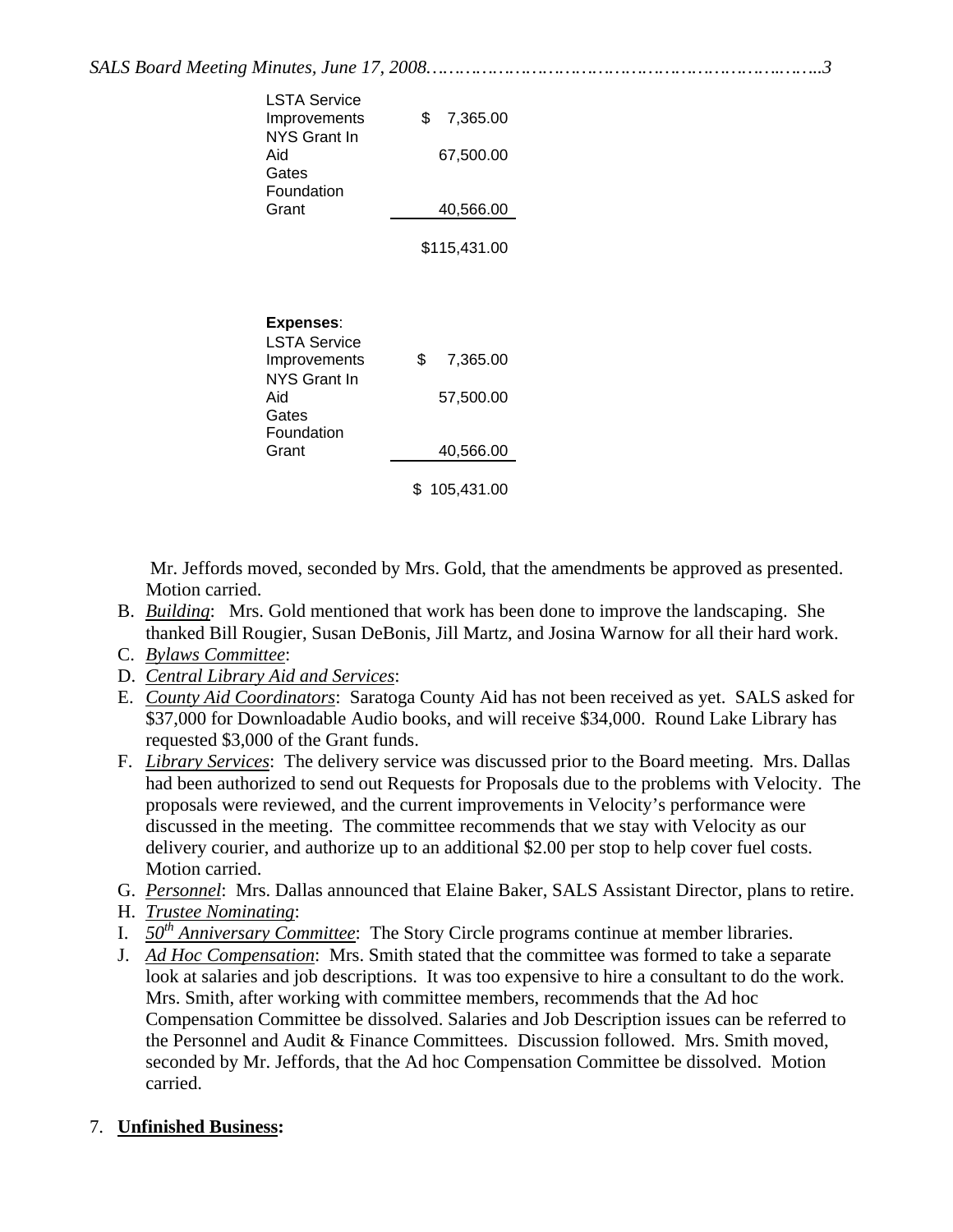| LSTA Service<br>Improvements<br>NYS Grant In<br>Aid<br>Gates<br>Foundation<br>Grant                     | \$<br>7,365.00<br>67,500.00<br>40,566.00<br>\$115,431.00     |
|---------------------------------------------------------------------------------------------------------|--------------------------------------------------------------|
| <b>Expenses:</b><br>LSTA Service<br>Improvements<br>NYS Grant In<br>Aid<br>Gates<br>Foundation<br>Grant | \$<br>7,365.00<br>57,500.00<br>40,566.00<br>\$<br>105.431.00 |

 Mr. Jeffords moved, seconded by Mrs. Gold, that the amendments be approved as presented. Motion carried.

- B. *Building*: Mrs. Gold mentioned that work has been done to improve the landscaping. She thanked Bill Rougier, Susan DeBonis, Jill Martz, and Josina Warnow for all their hard work.
- C. *Bylaws Committee*:
- D. *Central Library Aid and Services*:
- E. *County Aid Coordinators*: Saratoga County Aid has not been received as yet. SALS asked for \$37,000 for Downloadable Audio books, and will receive \$34,000. Round Lake Library has requested \$3,000 of the Grant funds.
- F. *Library Services*: The delivery service was discussed prior to the Board meeting. Mrs. Dallas had been authorized to send out Requests for Proposals due to the problems with Velocity. The proposals were reviewed, and the current improvements in Velocity's performance were discussed in the meeting. The committee recommends that we stay with Velocity as our delivery courier, and authorize up to an additional \$2.00 per stop to help cover fuel costs. Motion carried.
- G. *Personnel*: Mrs. Dallas announced that Elaine Baker, SALS Assistant Director, plans to retire.
- H. *Trustee Nominating*:
- I. *50th Anniversary Committee*: The Story Circle programs continue at member libraries.
- J. *Ad Hoc Compensation*: Mrs. Smith stated that the committee was formed to take a separate look at salaries and job descriptions. It was too expensive to hire a consultant to do the work. Mrs. Smith, after working with committee members, recommends that the Ad hoc Compensation Committee be dissolved. Salaries and Job Description issues can be referred to the Personnel and Audit & Finance Committees. Discussion followed. Mrs. Smith moved, seconded by Mr. Jeffords, that the Ad hoc Compensation Committee be dissolved. Motion carried.

## 7. **Unfinished Business:**